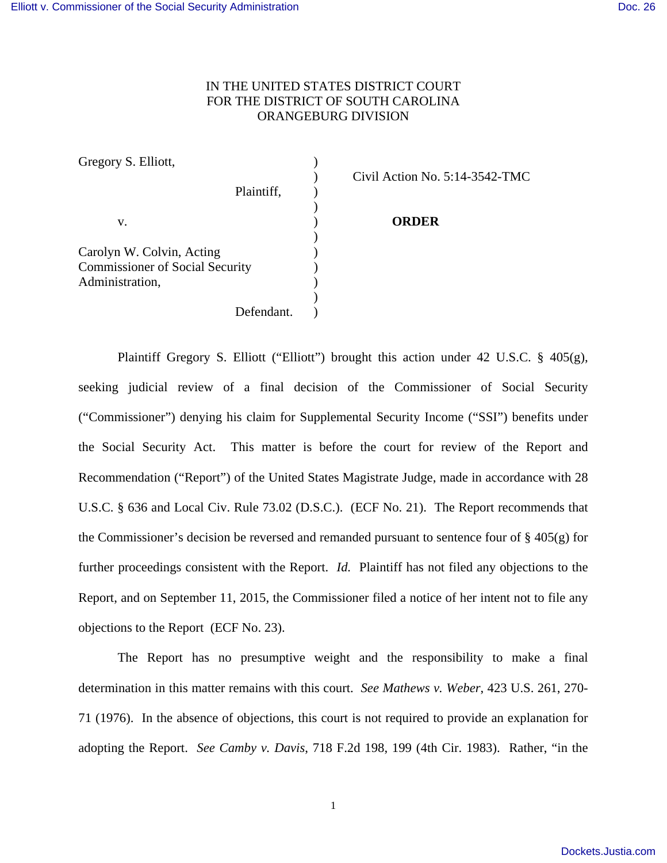## IN THE UNITED STATES DISTRICT COURT FOR THE DISTRICT OF SOUTH CAROLINA ORANGEBURG DIVISION

Gregory S. Elliott, Plaintiff,  $\qquad$ ) ) v. ) **ORDER** ) Carolyn W. Colvin, Acting (1996) Commissioner of Social Security ) Administration. ) Defendant.

) Civil Action No. 5:14-3542-TMC

Plaintiff Gregory S. Elliott ("Elliott") brought this action under 42 U.S.C. § 405(g), seeking judicial review of a final decision of the Commissioner of Social Security ("Commissioner") denying his claim for Supplemental Security Income ("SSI") benefits under the Social Security Act. This matter is before the court for review of the Report and Recommendation ("Report") of the United States Magistrate Judge, made in accordance with 28 U.S.C. § 636 and Local Civ. Rule 73.02 (D.S.C.). (ECF No. 21). The Report recommends that the Commissioner's decision be reversed and remanded pursuant to sentence four of  $\S 405(g)$  for further proceedings consistent with the Report. *Id.* Plaintiff has not filed any objections to the Report, and on September 11, 2015, the Commissioner filed a notice of her intent not to file any objections to the Report (ECF No. 23).

The Report has no presumptive weight and the responsibility to make a final determination in this matter remains with this court. *See Mathews v. Weber*, 423 U.S. 261, 270- 71 (1976). In the absence of objections, this court is not required to provide an explanation for adopting the Report. *See Camby v. Davis*, 718 F.2d 198, 199 (4th Cir. 1983). Rather, "in the